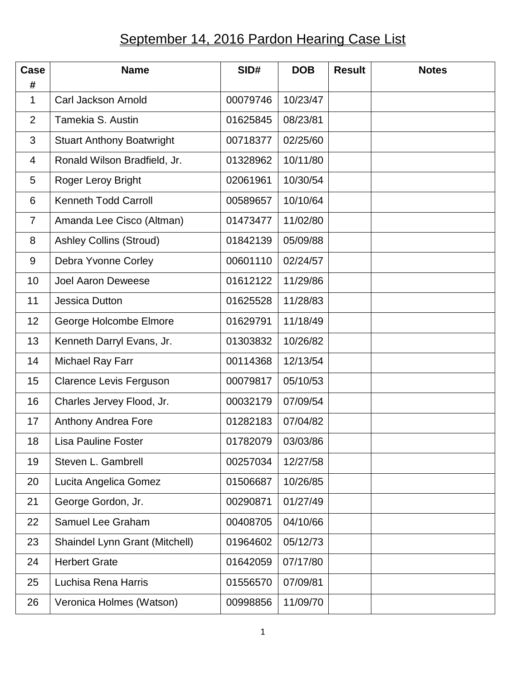## September 14, 2016 Pardon Hearing Case List

| Case              | <b>Name</b>                      | SID#     | <b>DOB</b> | <b>Result</b> | <b>Notes</b> |
|-------------------|----------------------------------|----------|------------|---------------|--------------|
| #<br>$\mathbf{1}$ | Carl Jackson Arnold              | 00079746 | 10/23/47   |               |              |
| $\overline{2}$    | Tamekia S. Austin                | 01625845 | 08/23/81   |               |              |
| 3                 | <b>Stuart Anthony Boatwright</b> | 00718377 | 02/25/60   |               |              |
| 4                 | Ronald Wilson Bradfield, Jr.     | 01328962 | 10/11/80   |               |              |
| 5                 | Roger Leroy Bright               | 02061961 | 10/30/54   |               |              |
| 6                 | <b>Kenneth Todd Carroll</b>      | 00589657 | 10/10/64   |               |              |
| $\overline{7}$    | Amanda Lee Cisco (Altman)        | 01473477 | 11/02/80   |               |              |
| 8                 | <b>Ashley Collins (Stroud)</b>   | 01842139 | 05/09/88   |               |              |
| 9                 | Debra Yvonne Corley              | 00601110 | 02/24/57   |               |              |
| 10                | <b>Joel Aaron Deweese</b>        | 01612122 | 11/29/86   |               |              |
| 11                | <b>Jessica Dutton</b>            | 01625528 | 11/28/83   |               |              |
| 12                | George Holcombe Elmore           | 01629791 | 11/18/49   |               |              |
| 13                | Kenneth Darryl Evans, Jr.        | 01303832 | 10/26/82   |               |              |
| 14                | Michael Ray Farr                 | 00114368 | 12/13/54   |               |              |
| 15                | <b>Clarence Levis Ferguson</b>   | 00079817 | 05/10/53   |               |              |
| 16                | Charles Jervey Flood, Jr.        | 00032179 | 07/09/54   |               |              |
| 17                | <b>Anthony Andrea Fore</b>       | 01282183 | 07/04/82   |               |              |
| 18                | Lisa Pauline Foster              | 01782079 | 03/03/86   |               |              |
| 19                | Steven L. Gambrell               | 00257034 | 12/27/58   |               |              |
| 20                | Lucita Angelica Gomez            | 01506687 | 10/26/85   |               |              |
| 21                | George Gordon, Jr.               | 00290871 | 01/27/49   |               |              |
| 22                | Samuel Lee Graham                | 00408705 | 04/10/66   |               |              |
| 23                | Shaindel Lynn Grant (Mitchell)   | 01964602 | 05/12/73   |               |              |
| 24                | <b>Herbert Grate</b>             | 01642059 | 07/17/80   |               |              |
| 25                | Luchisa Rena Harris              | 01556570 | 07/09/81   |               |              |
| 26                | Veronica Holmes (Watson)         | 00998856 | 11/09/70   |               |              |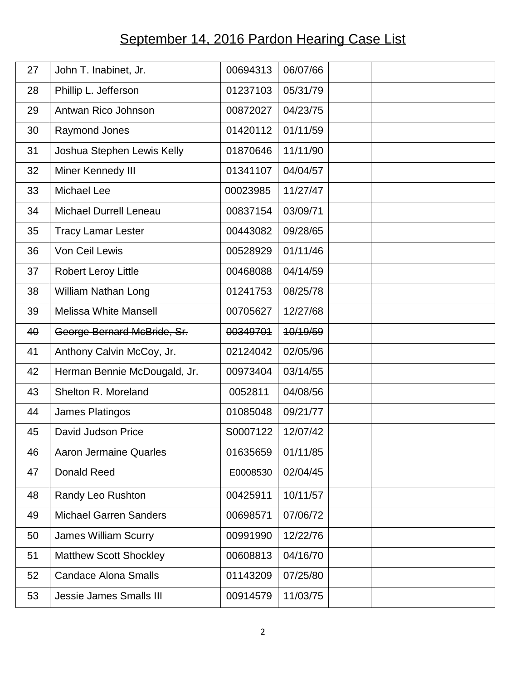## September 14, 2016 Pardon Hearing Case List

| 27 | John T. Inabinet, Jr.          | 00694313 | 06/07/66 |  |  |
|----|--------------------------------|----------|----------|--|--|
| 28 | Phillip L. Jefferson           | 01237103 | 05/31/79 |  |  |
| 29 | Antwan Rico Johnson            | 00872027 | 04/23/75 |  |  |
| 30 | <b>Raymond Jones</b>           | 01420112 | 01/11/59 |  |  |
| 31 | Joshua Stephen Lewis Kelly     | 01870646 | 11/11/90 |  |  |
| 32 | Miner Kennedy III              | 01341107 | 04/04/57 |  |  |
| 33 | Michael Lee                    | 00023985 | 11/27/47 |  |  |
| 34 | <b>Michael Durrell Leneau</b>  | 00837154 | 03/09/71 |  |  |
| 35 | <b>Tracy Lamar Lester</b>      | 00443082 | 09/28/65 |  |  |
| 36 | Von Ceil Lewis                 | 00528929 | 01/11/46 |  |  |
| 37 | <b>Robert Leroy Little</b>     | 00468088 | 04/14/59 |  |  |
| 38 | <b>William Nathan Long</b>     | 01241753 | 08/25/78 |  |  |
| 39 | <b>Melissa White Mansell</b>   | 00705627 | 12/27/68 |  |  |
| 40 | George Bernard McBride, Sr.    | 00349701 | 10/19/59 |  |  |
| 41 | Anthony Calvin McCoy, Jr.      | 02124042 | 02/05/96 |  |  |
| 42 | Herman Bennie McDougald, Jr.   | 00973404 | 03/14/55 |  |  |
| 43 | Shelton R. Moreland            | 0052811  | 04/08/56 |  |  |
| 44 | James Platingos                | 01085048 | 09/21/77 |  |  |
| 45 | David Judson Price             | S0007122 | 12/07/42 |  |  |
| 46 | <b>Aaron Jermaine Quarles</b>  | 01635659 | 01/11/85 |  |  |
| 47 | <b>Donald Reed</b>             | E0008530 | 02/04/45 |  |  |
| 48 | Randy Leo Rushton              | 00425911 | 10/11/57 |  |  |
| 49 | <b>Michael Garren Sanders</b>  | 00698571 | 07/06/72 |  |  |
| 50 | <b>James William Scurry</b>    | 00991990 | 12/22/76 |  |  |
| 51 | <b>Matthew Scott Shockley</b>  | 00608813 | 04/16/70 |  |  |
| 52 | <b>Candace Alona Smalls</b>    | 01143209 | 07/25/80 |  |  |
| 53 | <b>Jessie James Smalls III</b> | 00914579 | 11/03/75 |  |  |